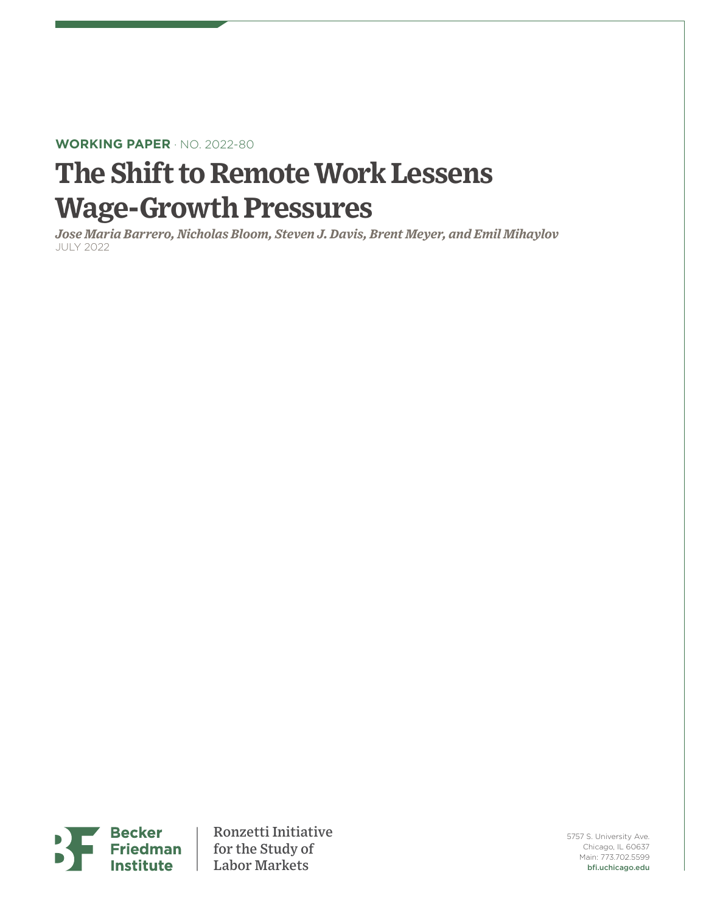## **WORKING PAPER** · NO. 2022-80

# **The Shift to Remote Work Lessens Wage-Growth Pressures**

*Jose Maria Barrero, Nicholas Bloom, Steven J. Davis, Brent Meyer, and Emil Mihaylov* JULY 2022



Ronzetti Initiative for the Study of Labor Markets

5757 S. University Ave. Chicago, IL 60637 Main: 773.702.5599 bfi.uchicago.edu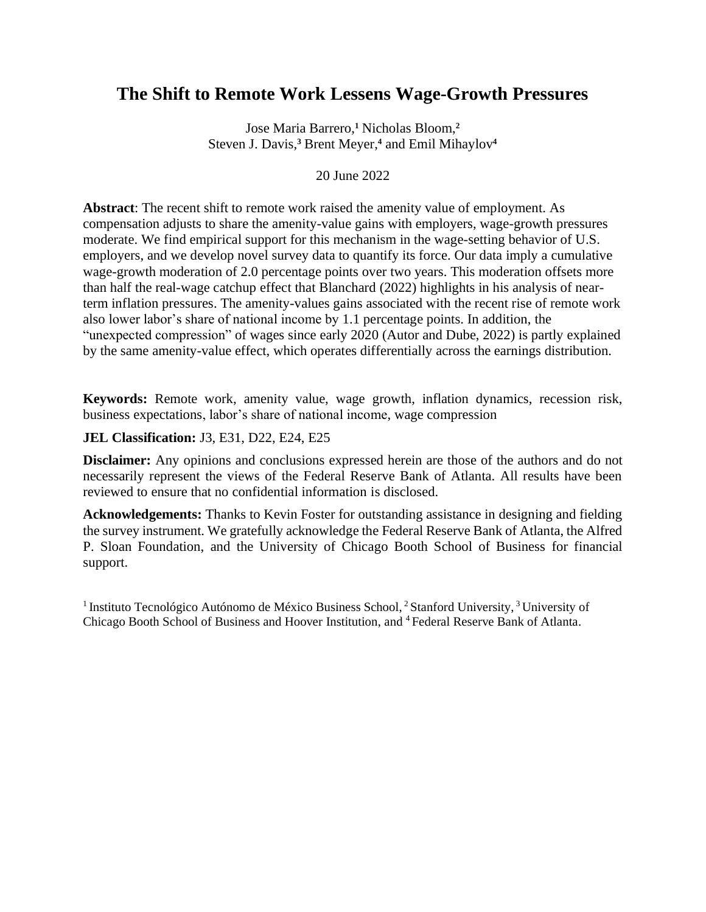# **The Shift to Remote Work Lessens Wage-Growth Pressures**

Jose Maria Barrero,**<sup>1</sup>** Nicholas Bloom,**<sup>2</sup>** Steven J. Davis,**<sup>3</sup>** Brent Meyer, **4** and Emil Mihaylov**<sup>4</sup>**

#### 20 June 2022

**Abstract**: The recent shift to remote work raised the amenity value of employment. As compensation adjusts to share the amenity-value gains with employers, wage-growth pressures moderate. We find empirical support for this mechanism in the wage-setting behavior of U.S. employers, and we develop novel survey data to quantify its force. Our data imply a cumulative wage-growth moderation of 2.0 percentage points over two years. This moderation offsets more than half the real-wage catchup effect that Blanchard (2022) highlights in his analysis of nearterm inflation pressures. The amenity-values gains associated with the recent rise of remote work also lower labor's share of national income by 1.1 percentage points. In addition, the "unexpected compression" of wages since early 2020 (Autor and Dube, 2022) is partly explained by the same amenity-value effect, which operates differentially across the earnings distribution.

**Keywords:** Remote work, amenity value, wage growth, inflation dynamics, recession risk, business expectations, labor's share of national income, wage compression

#### **JEL Classification:** J3, E31, D22, E24, E25

**Disclaimer:** Any opinions and conclusions expressed herein are those of the authors and do not necessarily represent the views of the Federal Reserve Bank of Atlanta. All results have been reviewed to ensure that no confidential information is disclosed.

**Acknowledgements:** Thanks to Kevin Foster for outstanding assistance in designing and fielding the survey instrument. We gratefully acknowledge the Federal Reserve Bank of Atlanta, the Alfred P. Sloan Foundation, and the University of Chicago Booth School of Business for financial support.

<sup>1</sup> Instituto Tecnológico Autónomo de México Business School, <sup>2</sup> Stanford University, <sup>3</sup> University of Chicago Booth School of Business and Hoover Institution, and <sup>4</sup> Federal Reserve Bank of Atlanta.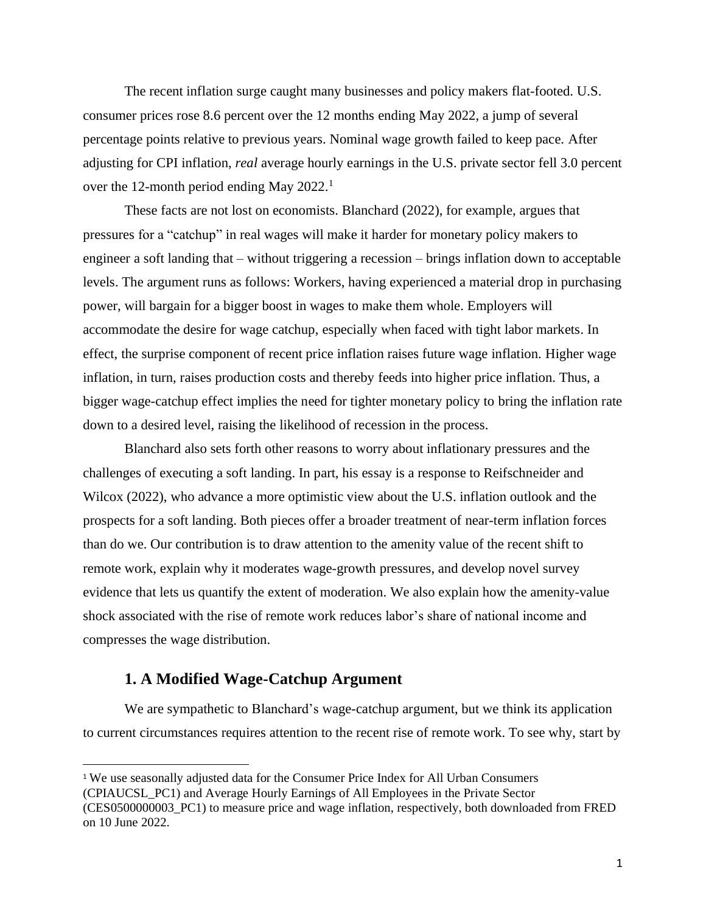The recent inflation surge caught many businesses and policy makers flat-footed. U.S. consumer prices rose 8.6 percent over the 12 months ending May 2022, a jump of several percentage points relative to previous years. Nominal wage growth failed to keep pace. After adjusting for CPI inflation, *real* average hourly earnings in the U.S. private sector fell 3.0 percent over the 12-month period ending May 2022.<sup>1</sup>

These facts are not lost on economists. Blanchard (2022), for example, argues that pressures for a "catchup" in real wages will make it harder for monetary policy makers to engineer a soft landing that – without triggering a recession – brings inflation down to acceptable levels. The argument runs as follows: Workers, having experienced a material drop in purchasing power, will bargain for a bigger boost in wages to make them whole. Employers will accommodate the desire for wage catchup, especially when faced with tight labor markets. In effect, the surprise component of recent price inflation raises future wage inflation. Higher wage inflation, in turn, raises production costs and thereby feeds into higher price inflation. Thus, a bigger wage-catchup effect implies the need for tighter monetary policy to bring the inflation rate down to a desired level, raising the likelihood of recession in the process.

Blanchard also sets forth other reasons to worry about inflationary pressures and the challenges of executing a soft landing. In part, his essay is a response to Reifschneider and Wilcox (2022), who advance a more optimistic view about the U.S. inflation outlook and the prospects for a soft landing. Both pieces offer a broader treatment of near-term inflation forces than do we. Our contribution is to draw attention to the amenity value of the recent shift to remote work, explain why it moderates wage-growth pressures, and develop novel survey evidence that lets us quantify the extent of moderation. We also explain how the amenity-value shock associated with the rise of remote work reduces labor's share of national income and compresses the wage distribution.

#### **1. A Modified Wage-Catchup Argument**

We are sympathetic to Blanchard's wage-catchup argument, but we think its application to current circumstances requires attention to the recent rise of remote work. To see why, start by

<sup>1</sup> We use seasonally adjusted data for the Consumer Price Index for All Urban Consumers

<sup>(</sup>CPIAUCSL\_PC1) and Average Hourly Earnings of All Employees in the Private Sector

<sup>(</sup>CES0500000003\_PC1) to measure price and wage inflation, respectively, both downloaded from FRED on 10 June 2022.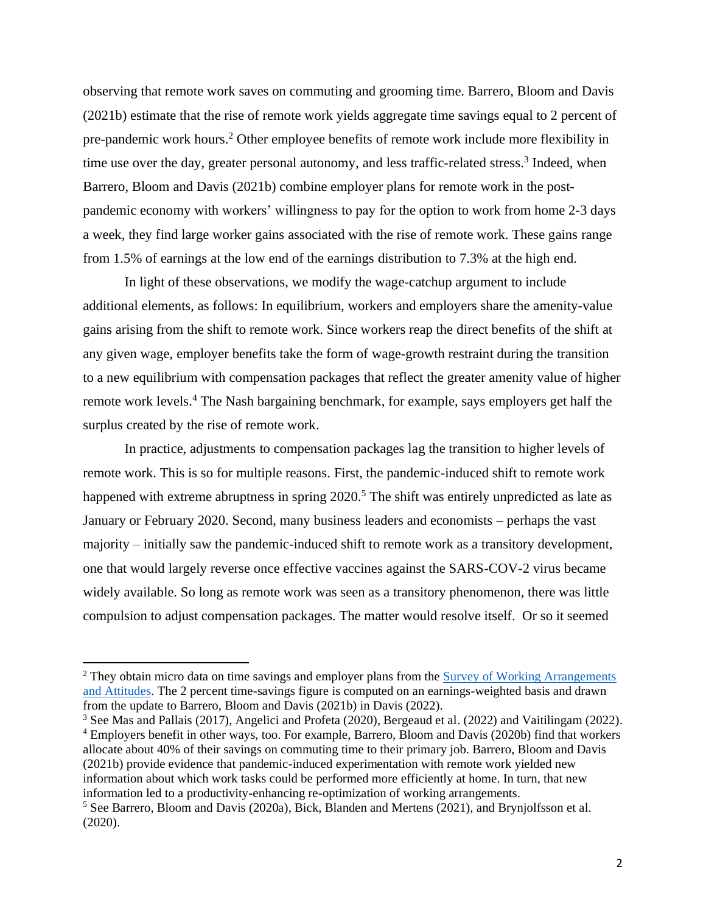observing that remote work saves on commuting and grooming time. Barrero, Bloom and Davis (2021b) estimate that the rise of remote work yields aggregate time savings equal to 2 percent of pre-pandemic work hours. <sup>2</sup> Other employee benefits of remote work include more flexibility in time use over the day, greater personal autonomy, and less traffic-related stress.<sup>3</sup> Indeed, when Barrero, Bloom and Davis (2021b) combine employer plans for remote work in the postpandemic economy with workers' willingness to pay for the option to work from home 2-3 days a week, they find large worker gains associated with the rise of remote work. These gains range from 1.5% of earnings at the low end of the earnings distribution to 7.3% at the high end.

In light of these observations, we modify the wage-catchup argument to include additional elements, as follows: In equilibrium, workers and employers share the amenity-value gains arising from the shift to remote work. Since workers reap the direct benefits of the shift at any given wage, employer benefits take the form of wage-growth restraint during the transition to a new equilibrium with compensation packages that reflect the greater amenity value of higher remote work levels.<sup>4</sup> The Nash bargaining benchmark, for example, says employers get half the surplus created by the rise of remote work.

In practice, adjustments to compensation packages lag the transition to higher levels of remote work. This is so for multiple reasons. First, the pandemic-induced shift to remote work happened with extreme abruptness in spring 2020.<sup>5</sup> The shift was entirely unpredicted as late as January or February 2020. Second, many business leaders and economists – perhaps the vast majority – initially saw the pandemic-induced shift to remote work as a transitory development, one that would largely reverse once effective vaccines against the SARS-COV-2 virus became widely available. So long as remote work was seen as a transitory phenomenon, there was little compulsion to adjust compensation packages. The matter would resolve itself. Or so it seemed

<sup>4</sup> Employers benefit in other ways, too. For example, Barrero, Bloom and Davis (2020b) find that workers allocate about 40% of their savings on commuting time to their primary job. Barrero, Bloom and Davis (2021b) provide evidence that pandemic-induced experimentation with remote work yielded new information about which work tasks could be performed more efficiently at home. In turn, that new information led to a productivity-enhancing re-optimization of working arrangements.

<sup>&</sup>lt;sup>2</sup> They obtain micro data on time savings and employer plans from the Survey of Working Arrangements [and Attitudes.](https://wfhresearch.com/data/) The 2 percent time-savings figure is computed on an earnings-weighted basis and drawn from the update to Barrero, Bloom and Davis (2021b) in Davis (2022).

<sup>&</sup>lt;sup>3</sup> See Mas and Pallais (2017), Angelici and Profeta (2020), Bergeaud et al. (2022) and Vaitilingam (2022).

 $<sup>5</sup>$  See Barrero, Bloom and Davis (2020a), Bick, Blanden and Mertens (2021), and Brynjolfsson et al.</sup> (2020).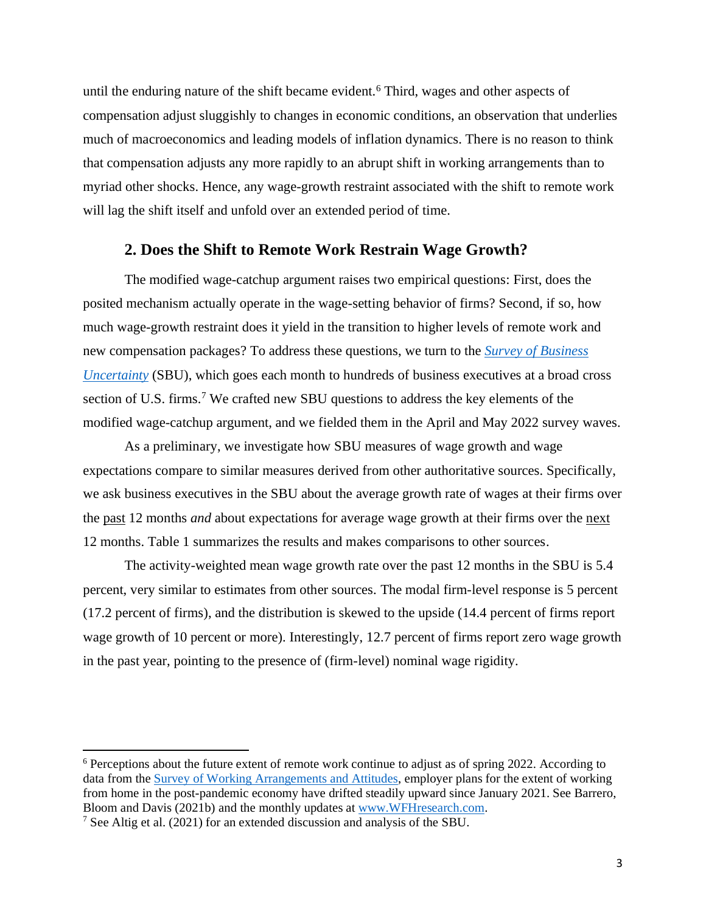until the enduring nature of the shift became evident.<sup>6</sup> Third, wages and other aspects of compensation adjust sluggishly to changes in economic conditions, an observation that underlies much of macroeconomics and leading models of inflation dynamics. There is no reason to think that compensation adjusts any more rapidly to an abrupt shift in working arrangements than to myriad other shocks. Hence, any wage-growth restraint associated with the shift to remote work will lag the shift itself and unfold over an extended period of time.

#### **2. Does the Shift to Remote Work Restrain Wage Growth?**

The modified wage-catchup argument raises two empirical questions: First, does the posited mechanism actually operate in the wage-setting behavior of firms? Second, if so, how much wage-growth restraint does it yield in the transition to higher levels of remote work and new compensation packages? To address these questions, we turn to the *[Survey of Business](http://www.atlantafed.org/sbu)  [Uncertainty](http://www.atlantafed.org/sbu)* (SBU), which goes each month to hundreds of business executives at a broad cross section of U.S. firms.<sup>7</sup> We crafted new SBU questions to address the key elements of the modified wage-catchup argument, and we fielded them in the April and May 2022 survey waves.

As a preliminary, we investigate how SBU measures of wage growth and wage expectations compare to similar measures derived from other authoritative sources. Specifically, we ask business executives in the SBU about the average growth rate of wages at their firms over the past 12 months *and* about expectations for average wage growth at their firms over the next 12 months. Table 1 summarizes the results and makes comparisons to other sources.

The activity-weighted mean wage growth rate over the past 12 months in the SBU is 5.4 percent, very similar to estimates from other sources. The modal firm-level response is 5 percent (17.2 percent of firms), and the distribution is skewed to the upside (14.4 percent of firms report wage growth of 10 percent or more). Interestingly, 12.7 percent of firms report zero wage growth in the past year, pointing to the presence of (firm-level) nominal wage rigidity.

<sup>6</sup> Perceptions about the future extent of remote work continue to adjust as of spring 2022. According to data from the [Survey of Working Arrangements and Attitudes,](/Users/sjd/Documents/My%20Papers/Remote%20Work%20and%20Wage-Growth%20Pressures/The%20Nash%20bargaining%20benchmark,%20for%20example,%20says%20employers%20get%20half%20the%20surplus%20created%20by%20the%20rise%20of%20remote%20work.) employer plans for the extent of working from home in the post-pandemic economy have drifted steadily upward since January 2021. See Barrero, Bloom and Davis (2021b) and the monthly updates a[t www.WFHresearch.com.](http://www.wfhresearch.com/)

<sup>7</sup> See Altig et al. (2021) for an extended discussion and analysis of the SBU.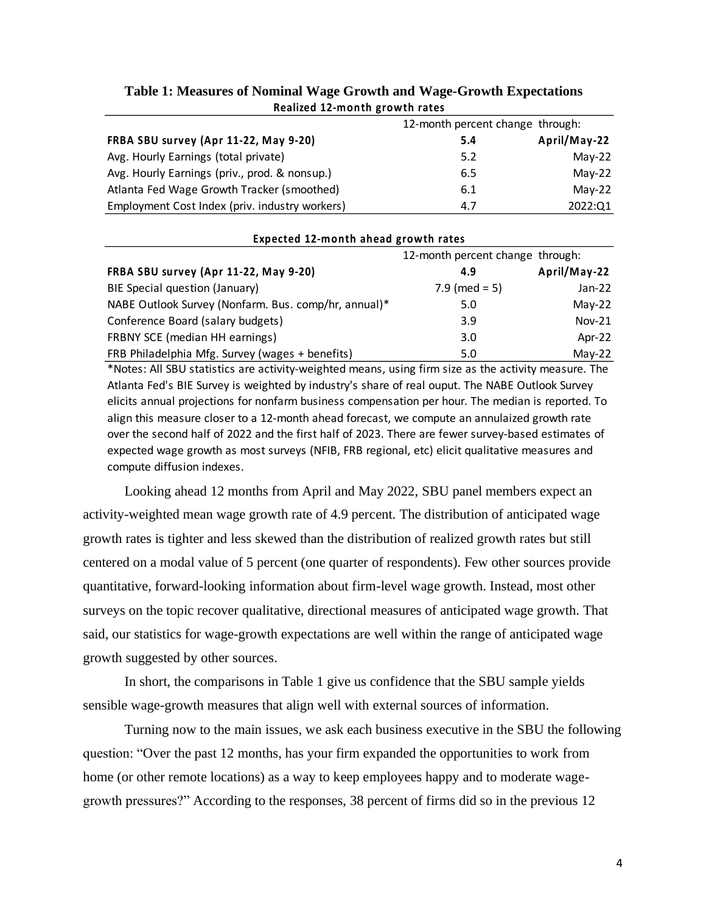| REARCH IZ-MONTH STOWER TALES                   |                                  |              |  |  |
|------------------------------------------------|----------------------------------|--------------|--|--|
|                                                | 12-month percent change through: |              |  |  |
| FRBA SBU survey (Apr 11-22, May 9-20)          | 5.4                              | April/May-22 |  |  |
| Avg. Hourly Earnings (total private)           | 5.2                              | $May-22$     |  |  |
| Avg. Hourly Earnings (priv., prod. & nonsup.)  | 6.5                              | $May-22$     |  |  |
| Atlanta Fed Wage Growth Tracker (smoothed)     | 6.1                              | $May-22$     |  |  |
| Employment Cost Index (priv. industry workers) | 4.7                              | 2022:Q1      |  |  |

# **Table 1: Measures of Nominal Wage Growth and Wage-Growth Expectations Realized 12-month growth rates**

| Expected 12-month ahead growth rates                 |                                  |              |  |
|------------------------------------------------------|----------------------------------|--------------|--|
|                                                      | 12-month percent change through: |              |  |
| FRBA SBU survey (Apr 11-22, May 9-20)                | 4.9                              | April/May-22 |  |
| BIE Special question (January)                       | $7.9$ (med = 5)                  | Jan-22       |  |
| NABE Outlook Survey (Nonfarm. Bus. comp/hr, annual)* | 5.0                              | $May-22$     |  |
| Conference Board (salary budgets)                    | 3.9                              | $Nov-21$     |  |
| FRBNY SCE (median HH earnings)                       | 3.0                              | Apr- $22$    |  |
| FRB Philadelphia Mfg. Survey (wages + benefits)      | 5.0                              | $May-22$     |  |

\*Notes: All SBU statistics are activity-weighted means, using firm size as the activity measure. The Atlanta Fed's BIE Survey is weighted by industry's share of real ouput. The NABE Outlook Survey elicits annual projections for nonfarm business compensation per hour. The median is reported. To align this measure closer to a 12-month ahead forecast, we compute an annulaized growth rate over the second half of 2022 and the first half of 2023. There are fewer survey-based estimates of expected wage growth as most surveys (NFIB, FRB regional, etc) elicit qualitative measures and compute diffusion indexes.

Looking ahead 12 months from April and May 2022, SBU panel members expect an activity-weighted mean wage growth rate of 4.9 percent. The distribution of anticipated wage growth rates is tighter and less skewed than the distribution of realized growth rates but still centered on a modal value of 5 percent (one quarter of respondents). Few other sources provide quantitative, forward-looking information about firm-level wage growth. Instead, most other surveys on the topic recover qualitative, directional measures of anticipated wage growth. That said, our statistics for wage-growth expectations are well within the range of anticipated wage growth suggested by other sources.

In short, the comparisons in Table 1 give us confidence that the SBU sample yields sensible wage-growth measures that align well with external sources of information.

Turning now to the main issues, we ask each business executive in the SBU the following question: "Over the past 12 months, has your firm expanded the opportunities to work from home (or other remote locations) as a way to keep employees happy and to moderate wagegrowth pressures?" According to the responses, 38 percent of firms did so in the previous 12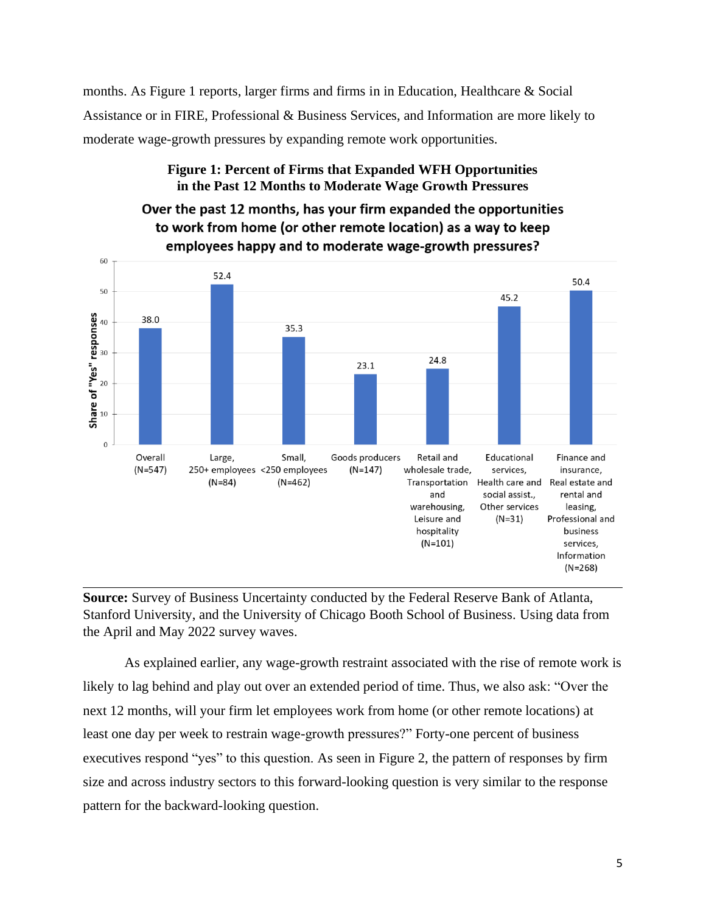months. As Figure 1 reports, larger firms and firms in in Education, Healthcare & Social Assistance or in FIRE, Professional & Business Services, and Information are more likely to moderate wage-growth pressures by expanding remote work opportunities.

## **Figure 1: Percent of Firms that Expanded WFH Opportunities in the Past 12 Months to Moderate Wage Growth Pressures**



Over the past 12 months, has your firm expanded the opportunities to work from home (or other remote location) as a way to keep

**Source:** Survey of Business Uncertainty conducted by the Federal Reserve Bank of Atlanta, Stanford University, and the University of Chicago Booth School of Business. Using data from the April and May 2022 survey waves.

As explained earlier, any wage-growth restraint associated with the rise of remote work is likely to lag behind and play out over an extended period of time. Thus, we also ask: "Over the next 12 months, will your firm let employees work from home (or other remote locations) at least one day per week to restrain wage-growth pressures?" Forty-one percent of business executives respond "yes" to this question. As seen in Figure 2, the pattern of responses by firm size and across industry sectors to this forward-looking question is very similar to the response pattern for the backward-looking question.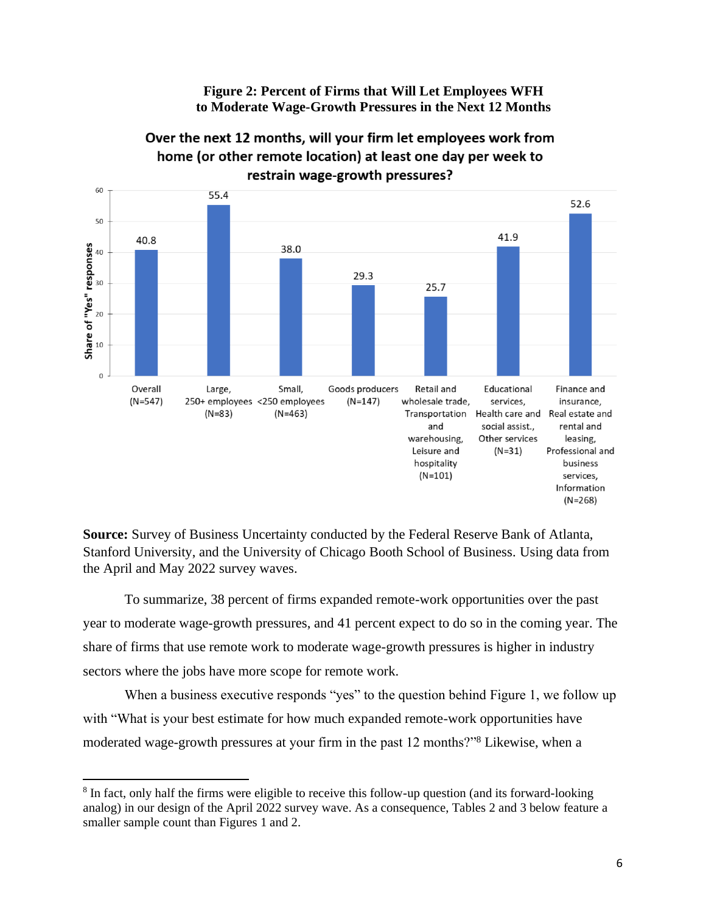**Figure 2: Percent of Firms that Will Let Employees WFH to Moderate Wage-Growth Pressures in the Next 12 Months**



Over the next 12 months, will your firm let employees work from home (or other remote location) at least one day per week to restrain wage-growth pressures?

**Source:** Survey of Business Uncertainty conducted by the Federal Reserve Bank of Atlanta, Stanford University, and the University of Chicago Booth School of Business. Using data from the April and May 2022 survey waves.

To summarize, 38 percent of firms expanded remote-work opportunities over the past year to moderate wage-growth pressures, and 41 percent expect to do so in the coming year. The share of firms that use remote work to moderate wage-growth pressures is higher in industry sectors where the jobs have more scope for remote work.

When a business executive responds "yes" to the question behind Figure 1, we follow up with "What is your best estimate for how much expanded remote-work opportunities have moderated wage-growth pressures at your firm in the past 12 months?"<sup>8</sup> Likewise, when a

<sup>&</sup>lt;sup>8</sup> In fact, only half the firms were eligible to receive this follow-up question (and its forward-looking analog) in our design of the April 2022 survey wave. As a consequence, Tables 2 and 3 below feature a smaller sample count than Figures 1 and 2.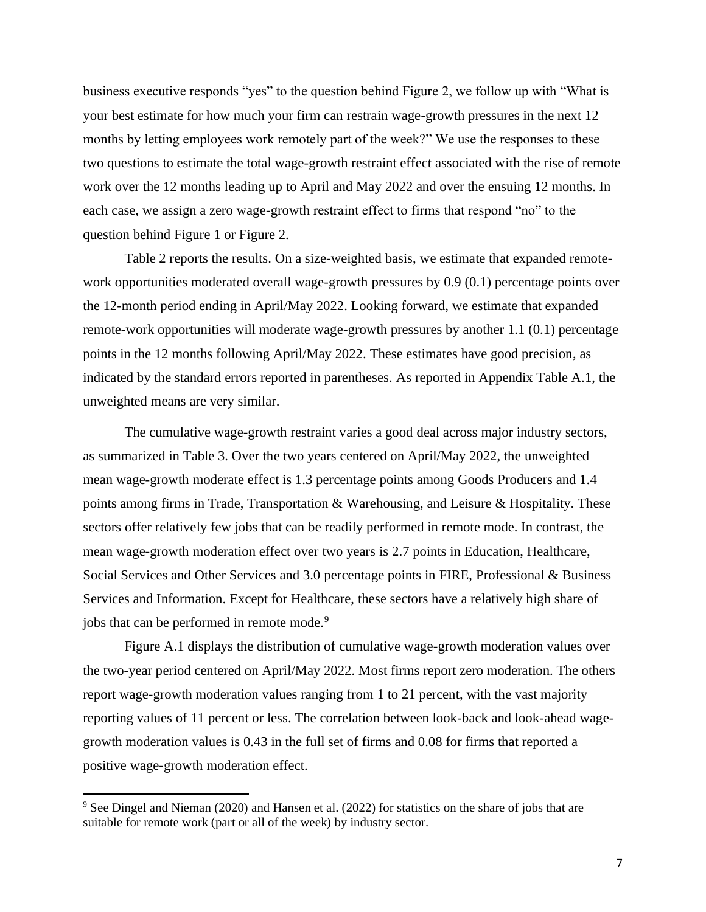business executive responds "yes" to the question behind Figure 2, we follow up with "What is your best estimate for how much your firm can restrain wage-growth pressures in the next 12 months by letting employees work remotely part of the week?" We use the responses to these two questions to estimate the total wage-growth restraint effect associated with the rise of remote work over the 12 months leading up to April and May 2022 and over the ensuing 12 months. In each case, we assign a zero wage-growth restraint effect to firms that respond "no" to the question behind Figure 1 or Figure 2.

Table 2 reports the results. On a size-weighted basis, we estimate that expanded remotework opportunities moderated overall wage-growth pressures by 0.9 (0.1) percentage points over the 12-month period ending in April/May 2022. Looking forward, we estimate that expanded remote-work opportunities will moderate wage-growth pressures by another 1.1 (0.1) percentage points in the 12 months following April/May 2022. These estimates have good precision, as indicated by the standard errors reported in parentheses. As reported in Appendix Table A.1, the unweighted means are very similar.

The cumulative wage-growth restraint varies a good deal across major industry sectors, as summarized in Table 3. Over the two years centered on April/May 2022, the unweighted mean wage-growth moderate effect is 1.3 percentage points among Goods Producers and 1.4 points among firms in Trade, Transportation & Warehousing, and Leisure & Hospitality. These sectors offer relatively few jobs that can be readily performed in remote mode. In contrast, the mean wage-growth moderation effect over two years is 2.7 points in Education, Healthcare, Social Services and Other Services and 3.0 percentage points in FIRE, Professional & Business Services and Information. Except for Healthcare, these sectors have a relatively high share of jobs that can be performed in remote mode.<sup>9</sup>

Figure A.1 displays the distribution of cumulative wage-growth moderation values over the two-year period centered on April/May 2022. Most firms report zero moderation. The others report wage-growth moderation values ranging from 1 to 21 percent, with the vast majority reporting values of 11 percent or less. The correlation between look-back and look-ahead wagegrowth moderation values is 0.43 in the full set of firms and 0.08 for firms that reported a positive wage-growth moderation effect.

<sup>9</sup> See Dingel and Nieman (2020) and Hansen et al. (2022) for statistics on the share of jobs that are suitable for remote work (part or all of the week) by industry sector.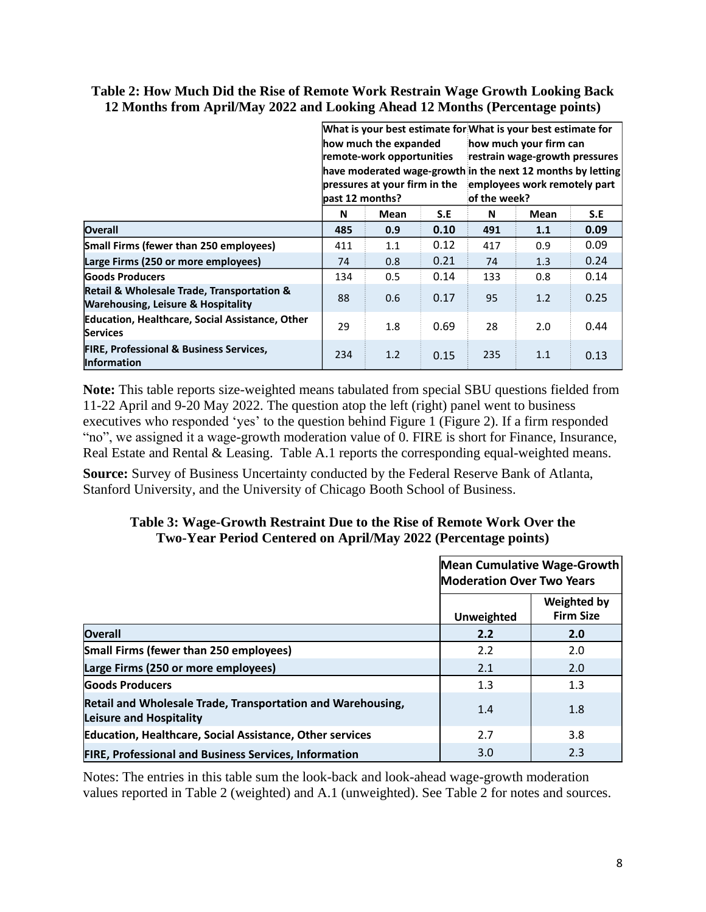#### **Table 2: How Much Did the Rise of Remote Work Restrain Wage Growth Looking Back 12 Months from April/May 2022 and Looking Ahead 12 Months (Percentage points)**

|                                                                                             | how much the expanded<br>remote-work opportunities<br>pressures at your firm in the<br>past 12 months? |      |      | What is your best estimate for What is your best estimate for<br>how much your firm can<br>restrain wage-growth pressures<br>have moderated wage-growth in the next 12 months by letting<br>employees work remotely part<br>of the week? |      |      |
|---------------------------------------------------------------------------------------------|--------------------------------------------------------------------------------------------------------|------|------|------------------------------------------------------------------------------------------------------------------------------------------------------------------------------------------------------------------------------------------|------|------|
|                                                                                             | N                                                                                                      | Mean | S.E  | N                                                                                                                                                                                                                                        | Mean | S.E  |
| Overall                                                                                     | 485                                                                                                    | 0.9  | 0.10 | 491                                                                                                                                                                                                                                      | 1.1  | 0.09 |
| Small Firms (fewer than 250 employees)                                                      | 411                                                                                                    | 1.1  | 0.12 | 417                                                                                                                                                                                                                                      | 0.9  | 0.09 |
| Large Firms (250 or more employees)                                                         | 74                                                                                                     | 0.8  | 0.21 | 74                                                                                                                                                                                                                                       | 1.3  | 0.24 |
| <b>Goods Producers</b>                                                                      | 134                                                                                                    | 0.5  | 0.14 | 133                                                                                                                                                                                                                                      | 0.8  | 0.14 |
| Retail & Wholesale Trade, Transportation &<br><b>Warehousing, Leisure &amp; Hospitality</b> | 88                                                                                                     | 0.6  | 0.17 | 95                                                                                                                                                                                                                                       | 1.2  | 0.25 |
| Education, Healthcare, Social Assistance, Other<br><b>Services</b>                          | 29                                                                                                     | 1.8  | 0.69 | 28                                                                                                                                                                                                                                       | 2.0  | 0.44 |
| <b>FIRE, Professional &amp; Business Services,</b><br><b>Information</b>                    | 234                                                                                                    | 1.2  | 0.15 | 235                                                                                                                                                                                                                                      | 1.1  | 0.13 |

**Note:** This table reports size-weighted means tabulated from special SBU questions fielded from 11-22 April and 9-20 May 2022. The question atop the left (right) panel went to business executives who responded 'yes' to the question behind Figure 1 (Figure 2). If a firm responded "no", we assigned it a wage-growth moderation value of 0. FIRE is short for Finance, Insurance, Real Estate and Rental & Leasing. Table A.1 reports the corresponding equal-weighted means.

**Source:** Survey of Business Uncertainty conducted by the Federal Reserve Bank of Atlanta, Stanford University, and the University of Chicago Booth School of Business.

# **Table 3: Wage-Growth Restraint Due to the Rise of Remote Work Over the Two-Year Period Centered on April/May 2022 (Percentage points)**

|                                                                                        |                   | Mean Cumulative Wage-Growth<br><b>Moderation Over Two Years</b> |  |  |
|----------------------------------------------------------------------------------------|-------------------|-----------------------------------------------------------------|--|--|
|                                                                                        | <b>Unweighted</b> | <b>Weighted by</b><br><b>Firm Size</b>                          |  |  |
| Overall                                                                                | 2.2               | 2.0                                                             |  |  |
| Small Firms (fewer than 250 employees)                                                 | 2.2               | 2.0                                                             |  |  |
| Large Firms (250 or more employees)                                                    | 2.1               | 2.0                                                             |  |  |
| <b>Goods Producers</b>                                                                 | 1.3               | 1.3                                                             |  |  |
| Retail and Wholesale Trade, Transportation and Warehousing,<br>Leisure and Hospitality | 1.4               | 1.8                                                             |  |  |
| <b>Education, Healthcare, Social Assistance, Other services</b>                        | 2.7               | 3.8                                                             |  |  |
| <b>FIRE, Professional and Business Services, Information</b>                           | 3.0               | 2.3                                                             |  |  |

Notes: The entries in this table sum the look-back and look-ahead wage-growth moderation values reported in Table 2 (weighted) and A.1 (unweighted). See Table 2 for notes and sources.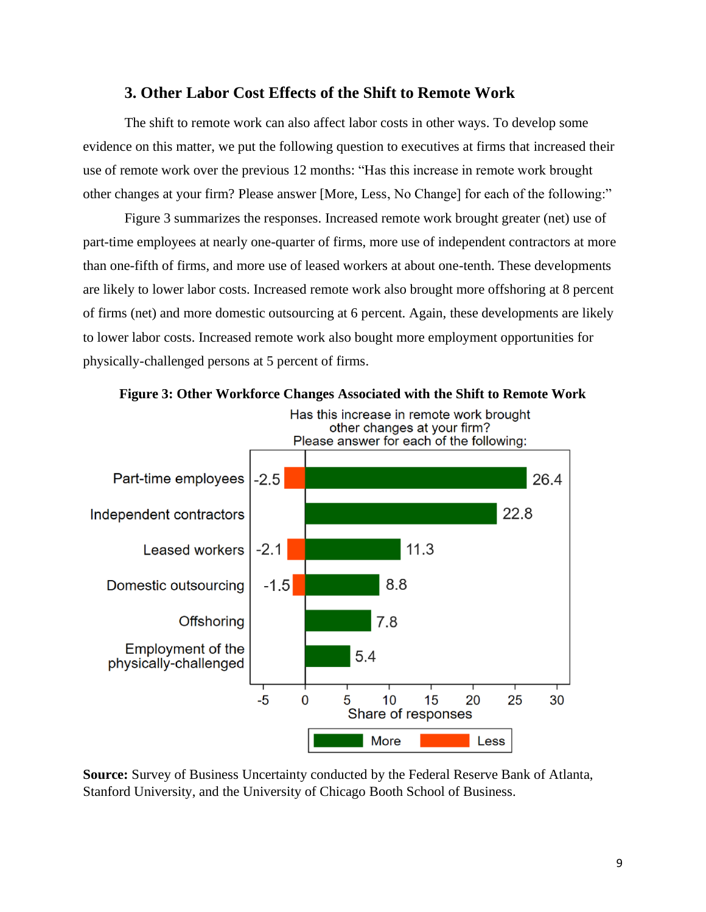# **3. Other Labor Cost Effects of the Shift to Remote Work**

The shift to remote work can also affect labor costs in other ways. To develop some evidence on this matter, we put the following question to executives at firms that increased their use of remote work over the previous 12 months: "Has this increase in remote work brought other changes at your firm? Please answer [More, Less, No Change] for each of the following:"

Figure 3 summarizes the responses. Increased remote work brought greater (net) use of part-time employees at nearly one-quarter of firms, more use of independent contractors at more than one-fifth of firms, and more use of leased workers at about one-tenth. These developments are likely to lower labor costs. Increased remote work also brought more offshoring at 8 percent of firms (net) and more domestic outsourcing at 6 percent. Again, these developments are likely to lower labor costs. Increased remote work also bought more employment opportunities for physically-challenged persons at 5 percent of firms.



**Source:** Survey of Business Uncertainty conducted by the Federal Reserve Bank of Atlanta, Stanford University, and the University of Chicago Booth School of Business.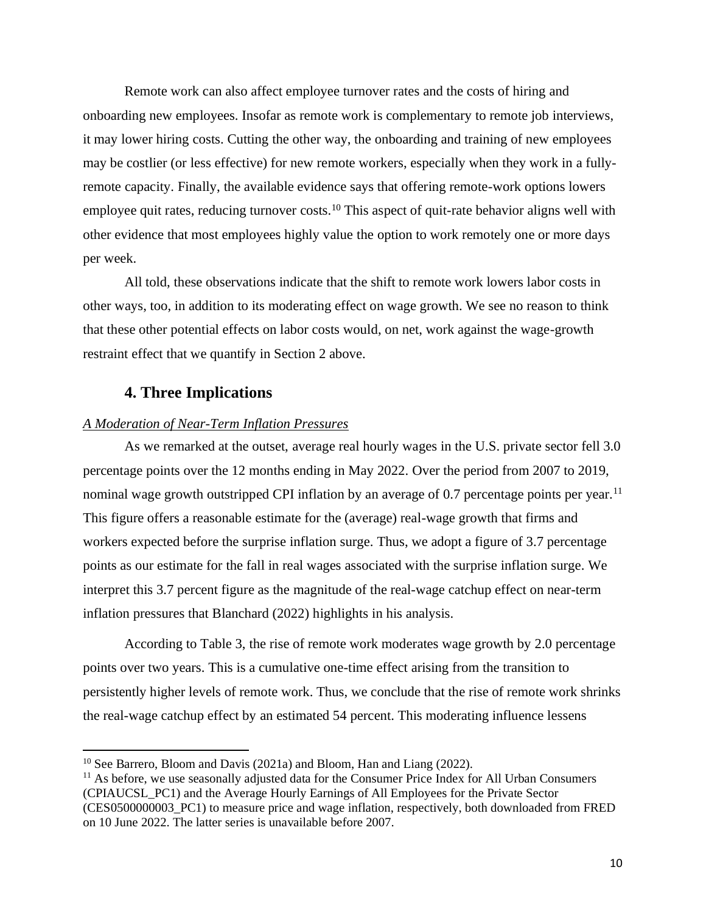Remote work can also affect employee turnover rates and the costs of hiring and onboarding new employees. Insofar as remote work is complementary to remote job interviews, it may lower hiring costs. Cutting the other way, the onboarding and training of new employees may be costlier (or less effective) for new remote workers, especially when they work in a fullyremote capacity. Finally, the available evidence says that offering remote-work options lowers employee quit rates, reducing turnover costs.<sup>10</sup> This aspect of quit-rate behavior aligns well with other evidence that most employees highly value the option to work remotely one or more days per week.

All told, these observations indicate that the shift to remote work lowers labor costs in other ways, too, in addition to its moderating effect on wage growth. We see no reason to think that these other potential effects on labor costs would, on net, work against the wage-growth restraint effect that we quantify in Section 2 above.

## **4. Three Implications**

#### *A Moderation of Near-Term Inflation Pressures*

As we remarked at the outset, average real hourly wages in the U.S. private sector fell 3.0 percentage points over the 12 months ending in May 2022. Over the period from 2007 to 2019, nominal wage growth outstripped CPI inflation by an average of 0.7 percentage points per year.<sup>11</sup> This figure offers a reasonable estimate for the (average) real-wage growth that firms and workers expected before the surprise inflation surge. Thus, we adopt a figure of 3.7 percentage points as our estimate for the fall in real wages associated with the surprise inflation surge. We interpret this 3.7 percent figure as the magnitude of the real-wage catchup effect on near-term inflation pressures that Blanchard (2022) highlights in his analysis.

According to Table 3, the rise of remote work moderates wage growth by 2.0 percentage points over two years. This is a cumulative one-time effect arising from the transition to persistently higher levels of remote work. Thus, we conclude that the rise of remote work shrinks the real-wage catchup effect by an estimated 54 percent. This moderating influence lessens

<sup>10</sup> See Barrero, Bloom and Davis (2021a) and Bloom, Han and Liang (2022).

 $11$  As before, we use seasonally adjusted data for the Consumer Price Index for All Urban Consumers (CPIAUCSL\_PC1) and the Average Hourly Earnings of All Employees for the Private Sector (CES0500000003\_PC1) to measure price and wage inflation, respectively, both downloaded from FRED on 10 June 2022. The latter series is unavailable before 2007.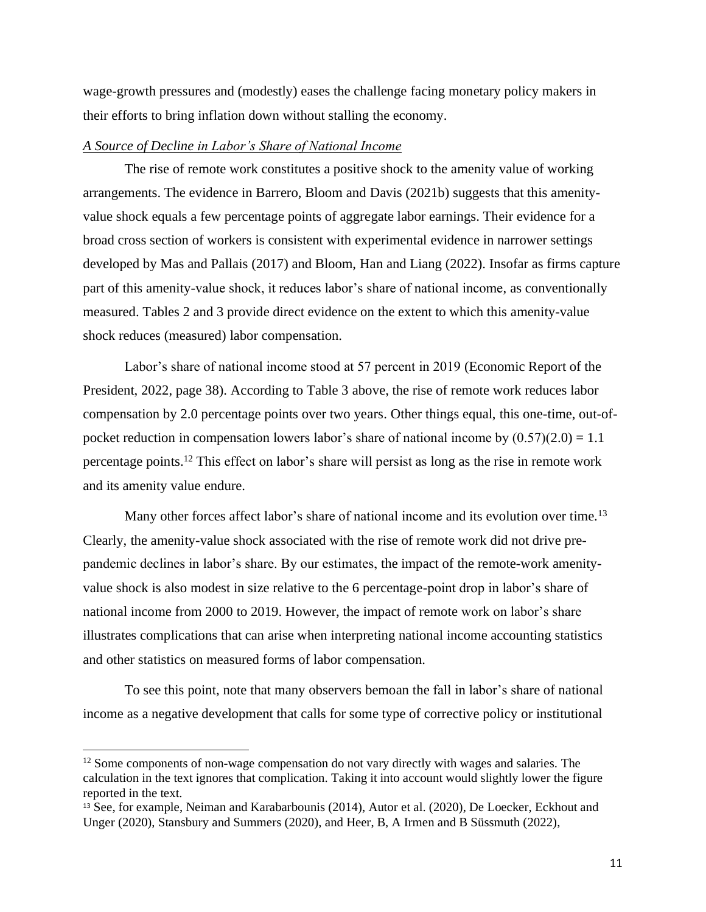wage-growth pressures and (modestly) eases the challenge facing monetary policy makers in their efforts to bring inflation down without stalling the economy.

# *A Source of Decline in Labor's Share of National Income*

The rise of remote work constitutes a positive shock to the amenity value of working arrangements. The evidence in Barrero, Bloom and Davis (2021b) suggests that this amenityvalue shock equals a few percentage points of aggregate labor earnings. Their evidence for a broad cross section of workers is consistent with experimental evidence in narrower settings developed by Mas and Pallais (2017) and Bloom, Han and Liang (2022). Insofar as firms capture part of this amenity-value shock, it reduces labor's share of national income, as conventionally measured. Tables 2 and 3 provide direct evidence on the extent to which this amenity-value shock reduces (measured) labor compensation.

Labor's share of national income stood at 57 percent in 2019 (Economic Report of the President, 2022, page 38). According to Table 3 above, the rise of remote work reduces labor compensation by 2.0 percentage points over two years. Other things equal, this one-time, out-ofpocket reduction in compensation lowers labor's share of national income by  $(0.57)(2.0) = 1.1$ percentage points.<sup>12</sup> This effect on labor's share will persist as long as the rise in remote work and its amenity value endure.

Many other forces affect labor's share of national income and its evolution over time.<sup>13</sup> Clearly, the amenity-value shock associated with the rise of remote work did not drive prepandemic declines in labor's share. By our estimates, the impact of the remote-work amenityvalue shock is also modest in size relative to the 6 percentage-point drop in labor's share of national income from 2000 to 2019. However, the impact of remote work on labor's share illustrates complications that can arise when interpreting national income accounting statistics and other statistics on measured forms of labor compensation.

To see this point, note that many observers bemoan the fall in labor's share of national income as a negative development that calls for some type of corrective policy or institutional

<sup>&</sup>lt;sup>12</sup> Some components of non-wage compensation do not vary directly with wages and salaries. The calculation in the text ignores that complication. Taking it into account would slightly lower the figure reported in the text.

<sup>13</sup> See, for example, Neiman and Karabarbounis (2014), Autor et al. (2020), De Loecker, Eckhout and Unger (2020), Stansbury and Summers (2020), and Heer, B, A Irmen and B Süssmuth (2022),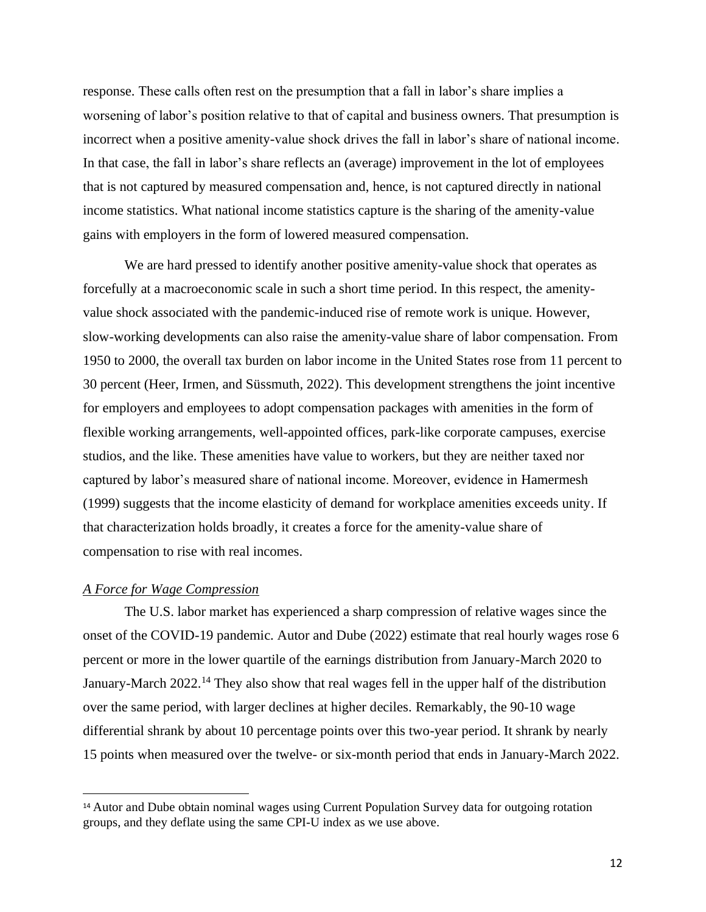response. These calls often rest on the presumption that a fall in labor's share implies a worsening of labor's position relative to that of capital and business owners. That presumption is incorrect when a positive amenity-value shock drives the fall in labor's share of national income. In that case, the fall in labor's share reflects an (average) improvement in the lot of employees that is not captured by measured compensation and, hence, is not captured directly in national income statistics. What national income statistics capture is the sharing of the amenity-value gains with employers in the form of lowered measured compensation.

We are hard pressed to identify another positive amenity-value shock that operates as forcefully at a macroeconomic scale in such a short time period. In this respect, the amenityvalue shock associated with the pandemic-induced rise of remote work is unique. However, slow-working developments can also raise the amenity-value share of labor compensation. From 1950 to 2000, the overall tax burden on labor income in the United States rose from 11 percent to 30 percent (Heer, Irmen, and Süssmuth, 2022). This development strengthens the joint incentive for employers and employees to adopt compensation packages with amenities in the form of flexible working arrangements, well-appointed offices, park-like corporate campuses, exercise studios, and the like. These amenities have value to workers, but they are neither taxed nor captured by labor's measured share of national income. Moreover, evidence in Hamermesh (1999) suggests that the income elasticity of demand for workplace amenities exceeds unity. If that characterization holds broadly, it creates a force for the amenity-value share of compensation to rise with real incomes.

#### *A Force for Wage Compression*

The U.S. labor market has experienced a sharp compression of relative wages since the onset of the COVID-19 pandemic. Autor and Dube (2022) estimate that real hourly wages rose 6 percent or more in the lower quartile of the earnings distribution from January-March 2020 to January-March 2022.<sup>14</sup> They also show that real wages fell in the upper half of the distribution over the same period, with larger declines at higher deciles. Remarkably, the 90-10 wage differential shrank by about 10 percentage points over this two-year period. It shrank by nearly 15 points when measured over the twelve- or six-month period that ends in January-March 2022.

<sup>14</sup> Autor and Dube obtain nominal wages using Current Population Survey data for outgoing rotation groups, and they deflate using the same CPI-U index as we use above.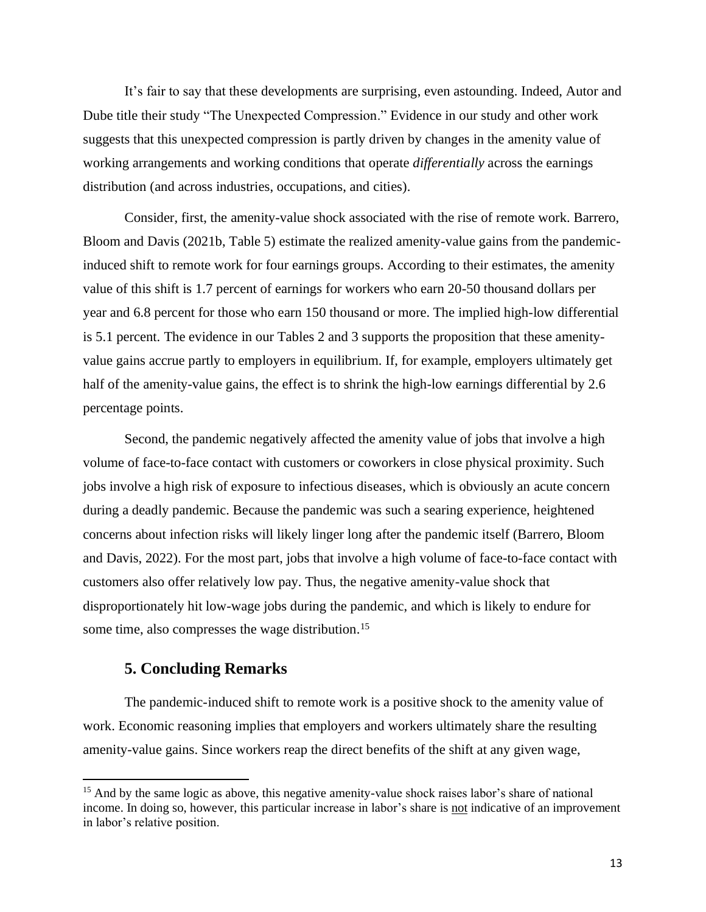It's fair to say that these developments are surprising, even astounding. Indeed, Autor and Dube title their study "The Unexpected Compression." Evidence in our study and other work suggests that this unexpected compression is partly driven by changes in the amenity value of working arrangements and working conditions that operate *differentially* across the earnings distribution (and across industries, occupations, and cities).

Consider, first, the amenity-value shock associated with the rise of remote work. Barrero, Bloom and Davis (2021b, Table 5) estimate the realized amenity-value gains from the pandemicinduced shift to remote work for four earnings groups. According to their estimates, the amenity value of this shift is 1.7 percent of earnings for workers who earn 20-50 thousand dollars per year and 6.8 percent for those who earn 150 thousand or more. The implied high-low differential is 5.1 percent. The evidence in our Tables 2 and 3 supports the proposition that these amenityvalue gains accrue partly to employers in equilibrium. If, for example, employers ultimately get half of the amenity-value gains, the effect is to shrink the high-low earnings differential by 2.6 percentage points.

Second, the pandemic negatively affected the amenity value of jobs that involve a high volume of face-to-face contact with customers or coworkers in close physical proximity. Such jobs involve a high risk of exposure to infectious diseases, which is obviously an acute concern during a deadly pandemic. Because the pandemic was such a searing experience, heightened concerns about infection risks will likely linger long after the pandemic itself (Barrero, Bloom and Davis, 2022). For the most part, jobs that involve a high volume of face-to-face contact with customers also offer relatively low pay. Thus, the negative amenity-value shock that disproportionately hit low-wage jobs during the pandemic, and which is likely to endure for some time, also compresses the wage distribution.<sup>15</sup>

#### **5. Concluding Remarks**

The pandemic-induced shift to remote work is a positive shock to the amenity value of work. Economic reasoning implies that employers and workers ultimately share the resulting amenity-value gains. Since workers reap the direct benefits of the shift at any given wage,

<sup>&</sup>lt;sup>15</sup> And by the same logic as above, this negative amenity-value shock raises labor's share of national income. In doing so, however, this particular increase in labor's share is not indicative of an improvement in labor's relative position.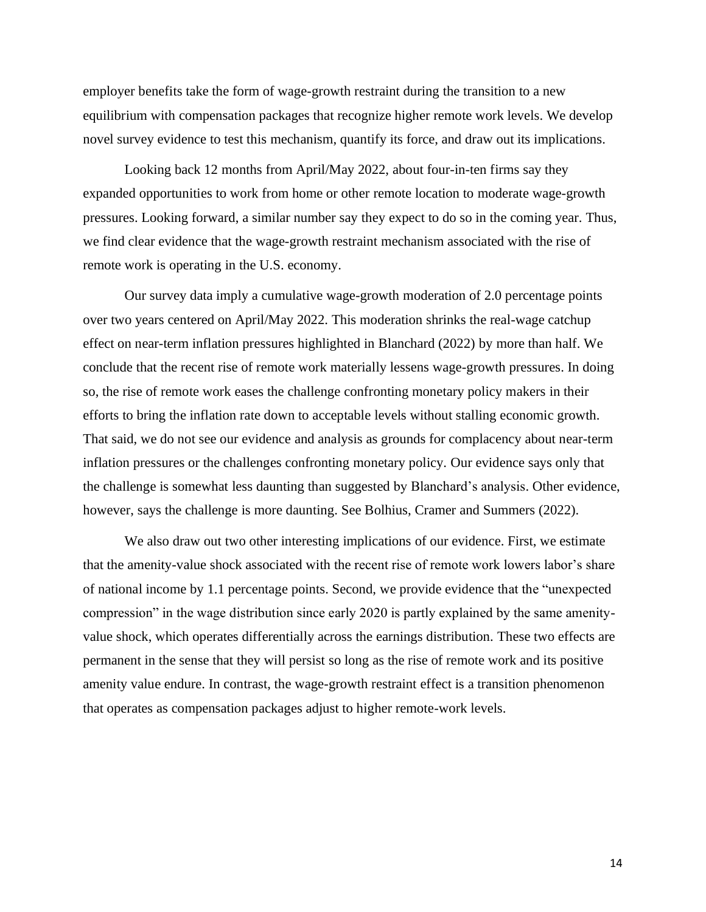employer benefits take the form of wage-growth restraint during the transition to a new equilibrium with compensation packages that recognize higher remote work levels. We develop novel survey evidence to test this mechanism, quantify its force, and draw out its implications.

Looking back 12 months from April/May 2022, about four-in-ten firms say they expanded opportunities to work from home or other remote location to moderate wage-growth pressures. Looking forward, a similar number say they expect to do so in the coming year. Thus, we find clear evidence that the wage-growth restraint mechanism associated with the rise of remote work is operating in the U.S. economy.

Our survey data imply a cumulative wage-growth moderation of 2.0 percentage points over two years centered on April/May 2022. This moderation shrinks the real-wage catchup effect on near-term inflation pressures highlighted in Blanchard (2022) by more than half. We conclude that the recent rise of remote work materially lessens wage-growth pressures. In doing so, the rise of remote work eases the challenge confronting monetary policy makers in their efforts to bring the inflation rate down to acceptable levels without stalling economic growth. That said, we do not see our evidence and analysis as grounds for complacency about near-term inflation pressures or the challenges confronting monetary policy. Our evidence says only that the challenge is somewhat less daunting than suggested by Blanchard's analysis. Other evidence, however, says the challenge is more daunting. See Bolhius, Cramer and Summers (2022).

We also draw out two other interesting implications of our evidence. First, we estimate that the amenity-value shock associated with the recent rise of remote work lowers labor's share of national income by 1.1 percentage points. Second, we provide evidence that the "unexpected compression" in the wage distribution since early 2020 is partly explained by the same amenityvalue shock, which operates differentially across the earnings distribution. These two effects are permanent in the sense that they will persist so long as the rise of remote work and its positive amenity value endure. In contrast, the wage-growth restraint effect is a transition phenomenon that operates as compensation packages adjust to higher remote-work levels.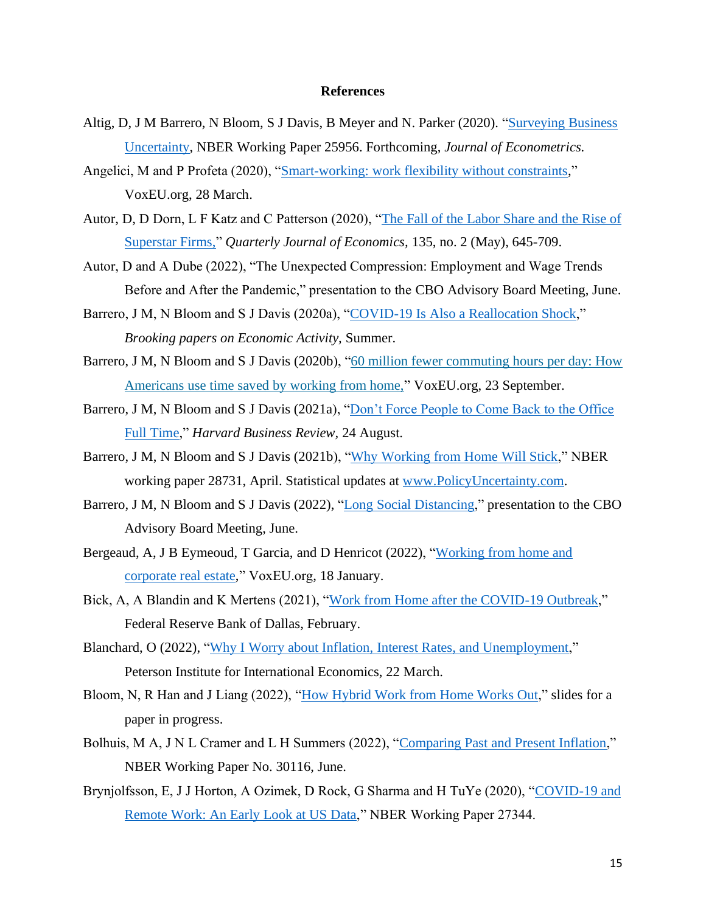#### **References**

- Altig, D, J M Barrero, N Bloom, S J Davis, B Meyer and N. Parker (2020). ["Surveying Business](https://stevenjdavis.com/s/Full-Surveying-Business-Uncertainty-Mar-16-2020.pdf)  [Uncertainty,](https://stevenjdavis.com/s/Full-Surveying-Business-Uncertainty-Mar-16-2020.pdf) NBER Working Paper 25956. Forthcoming, *Journal of Econometrics.*
- Angelici, M and P Profeta (2020), ["Smart-working: work flexibility without constraints,](https://voxeu.org/article/smart-working-work-flexibility-without-constraints)" VoxEU.org, 28 March.
- Autor, D, D Dorn, L F Katz and C Patterson (2020), ["The Fall of the Labor Share and the Rise of](https://academic.oup.com/qje/article/135/2/645/5721266?login=true)  [Superstar Firms,"](https://academic.oup.com/qje/article/135/2/645/5721266?login=true) *Quarterly Journal of Economics,* 135, no. 2 (May), 645-709.
- Autor, D and A Dube (2022), "The Unexpected Compression: Employment and Wage Trends Before and After the Pandemic," presentation to the CBO Advisory Board Meeting, June.
- Barrero, J M, N Bloom and S J Davis (2020a), ["COVID-19 Is Also a Reallocation Shock,](https://static1.squarespace.com/static/5e2ea3a8097ed30c779bd707/t/60ca8e7c91ac5145abad8bf7/1623887488543/COVID+Reallocation+Shock%2C+5+April+2021%2C+Updated+Table+C2.pdf)" *Brooking papers on Economic Activity,* Summer.
- Barrero, J M, N Bloom and S J Davis (2020b), "60 million fewer [commuting](https://voxeu.org/article/how-americans-use-time-saved-working-home) hours per day: How [Americans](https://voxeu.org/article/how-americans-use-time-saved-working-home) use time saved by working from home," VoxEU.org, 23 September.
- Barrero, J M, N Bloom and S J Davis (2021a), "Don't Force People to Come Back to the Office [Full Time,](https://hbr.org/2021/08/dont-force-people-to-come-back-to-the-office-full-time)" *Harvard Business Review,* 24 August.
- Barrero, J M, N Bloom and S J Davis (2021b), ["Why Working from Home Will Stick,](https://www.nber.org/system/files/working_papers/w28731/w28731.pdf)" NBER working paper 28731, April. Statistical updates at [www.PolicyUncertainty.com.](http://www.policyuncertainty.com/)
- Barrero, J M, N Bloom and S J Davis (2022), ["Long Social Distancing,](https://static1.squarespace.com/static/5e2ea3a8097ed30c779bd707/t/62a1febca62ace75681ab9db/1654783681356/LongSocialDistance%2C+CBO+June+2022.pdf)" presentation to the CBO Advisory Board Meeting, June.
- Bergeaud, A, J B Eymeoud, T Garcia, and D Henricot (2022), ["Working from home and](https://voxeu.org/article/working-home-and-corporate-real-estate)  [corporate real estate,](https://voxeu.org/article/working-home-and-corporate-real-estate)" VoxEU.org, 18 January.
- Bick, A, A Blandin and K Mertens (2021), ["Work from Home after the COVID-19 Outbreak,](https://www.dallasfed.org/-/media/documents/research/papers/2020/wp2017r2.pdf)" Federal Reserve Bank of Dallas, February.
- Blanchard, O (2022), ["Why I Worry about Inflation, Interest Rates, and Unemployment,](https://www.piie.com/blogs/realtime-economic-issues-watch/why-i-worry-about-inflation-interest-rates-and-unemployment)" Peterson Institute for International Economics, 22 March.
- Bloom, N, R Han and J Liang (2022), ["How Hybrid Work from Home Works Out,](https://www.dropbox.com/s/8n4uejqv93azyhu/Shanghai.pdf?dl=0)" slides for a paper in progress.
- Bolhuis, M A, J N L Cramer and L H Summers (2022), ["Comparing Past and Present Inflation,](https://www.nber.org/papers/w30116)" NBER Working Paper No. 30116, June.
- Brynjolfsson, E, J J Horton, A Ozimek, D Rock, G Sharma and H TuYe (2020), ["COVID-19 and](https://www.dallasfed.org/-/media/documents/research/papers/2020/wp2017r2.pdf)  [Remote Work: An Early Look at US Data,](https://www.dallasfed.org/-/media/documents/research/papers/2020/wp2017r2.pdf)" NBER Working Paper 27344.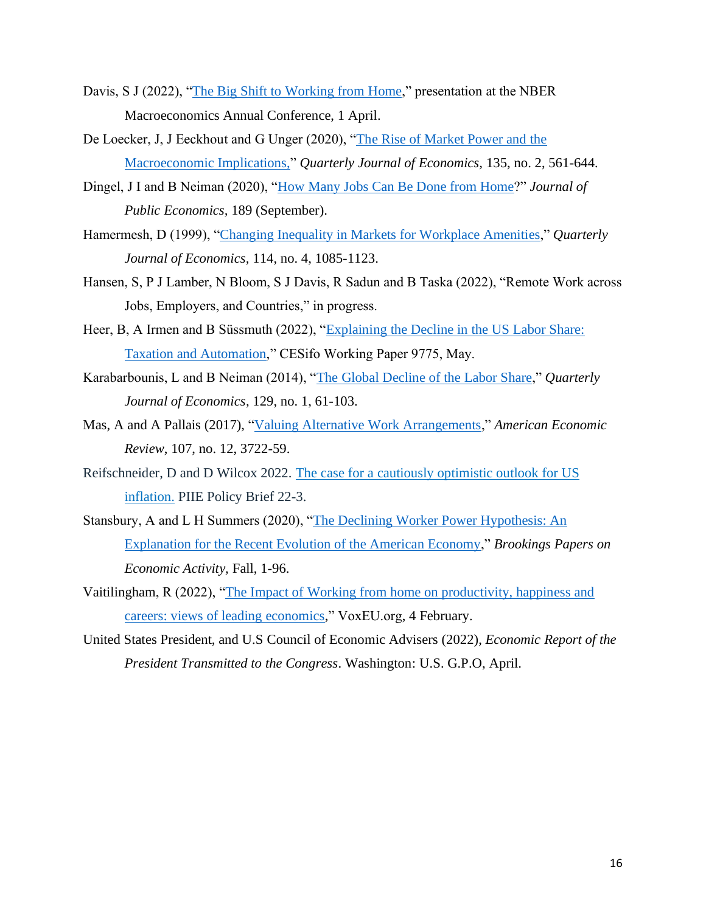- Davis, S J (2022), ["The Big Shift to Working from Home,](https://static1.squarespace.com/static/5e2ea3a8097ed30c779bd707/t/62474133a4e30576426c57c3/1648836921090/Big+Shift%2C+NBER%2C+1+April.pdf)" presentation at the NBER Macroeconomics Annual Conference, 1 April.
- De Loecker, J, J Eeckhout and G Unger (2020), ["The Rise of Market Power and the](https://academic.oup.com/qje/article/135/2/561/5714769?login=true)  [Macroeconomic Implications,"](https://academic.oup.com/qje/article/135/2/561/5714769?login=true) *Quarterly Journal of Economics,* 135, no. 2, 561-644.
- Dingel, J I and B Neiman (2020), ["How Many Jobs Can Be Done from Home?](https://www.aeaweb.org/articles?id=10.1257%2Faer.20161500&utm_source=TrendMD&utm_medium=cpc&utm_campaign=American_Economic_Review_TrendMD_1)" *Journal of Public Economics,* 189 (September).
- Hamermesh, D (1999), ["Changing Inequality in Markets for Workplace Amenities,](https://academic.oup.com/qje/article-abstract/114/4/1085/1933995?redirectedFrom=PDF&casa_token=gPnee4O2H_gAAAAA:EmRcDsG2YHsLiriF5Q6CfJr0-IPnOuWARaIUZiV5qDVd-zRxBLogM7Od3P0UaMUD-7n3meD7FAR234k)" *Quarterly Journal of Economics,* 114, no. 4, 1085-1123.
- Hansen, S, P J Lamber, N Bloom, S J Davis, R Sadun and B Taska (2022), "Remote Work across Jobs, Employers, and Countries," in progress.
- Heer, B, A Irmen and B Süssmuth (2022), ["Explaining the Decline in the US Labor Share:](https://papers.ssrn.com/sol3/papers.cfm?abstract_id=4127662)  [Taxation and Automation,](https://papers.ssrn.com/sol3/papers.cfm?abstract_id=4127662)" CESifo Working Paper 9775, May.
- Karabarbounis, L and B Neiman (2014), ["The Global Decline of the Labor Share,](https://academic.oup.com/qje/article-abstract/129/1/61/1899422)" *Quarterly Journal of Economics,* 129, no. 1, 61-103.
- Mas, A and A Pallais (2017), ["Valuing Alternative Work Arrangements,](https://www.aeaweb.org/articles?id=10.1257%2Faer.20161500&utm_source=TrendMD&utm_medium=cpc&utm_campaign=American_Economic_Review_TrendMD_1)" *American Economic Review*, 107, no. 12, 3722-59.
- Reifschneider, D and D Wilcox 2022. The case for a [cautiously](https://www.piie.com/publications/policy-briefs/case-cautiously-optimistic-outlook-us-inflation) optimistic outlook for US [inflation.](https://www.piie.com/publications/policy-briefs/case-cautiously-optimistic-outlook-us-inflation) PIIE Policy Brief 22-3.
- Stansbury, A and L H Summers (2020), ["The Declining Worker Power Hypothesis: An](https://muse.jhu.edu/article/787101)  [Explanation for the Recent Evolution of the American Economy,](https://muse.jhu.edu/article/787101)" *Brookings Papers on Economic Activity,* Fall, 1-96.
- Vaitilingham, R (2022), ["The Impact of Working from home on productivity, happiness and](https://voxeu.org/article/working-home-igm-forum-survey)  [careers: views of leading economics,](https://voxeu.org/article/working-home-igm-forum-survey)" VoxEU.org, 4 February.
- United States President, and U.S Council of Economic Advisers (2022), *Economic Report of the President Transmitted to the Congress*. Washington: U.S. G.P.O, April.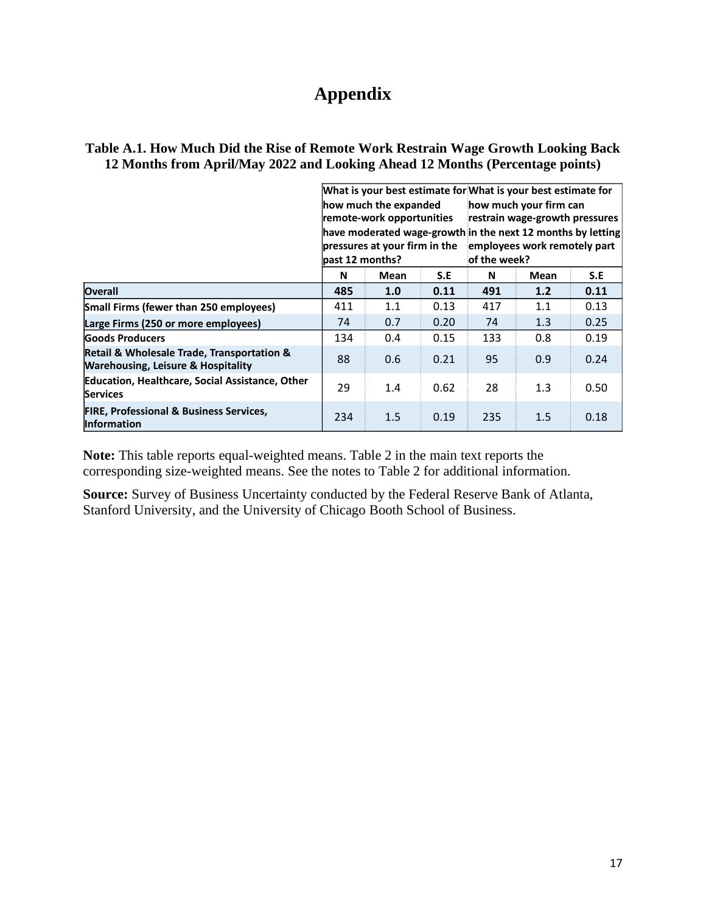# **Appendix**

|                                                                                                            | past 12 months? | how much the expanded<br>remote-work opportunities<br>pressures at your firm in the |      | of the week? | What is your best estimate for What is your best estimate for<br>how much your firm can<br>restrain wage-growth pressures<br>have moderated wage-growth in the next 12 months by letting<br>employees work remotely part |      |
|------------------------------------------------------------------------------------------------------------|-----------------|-------------------------------------------------------------------------------------|------|--------------|--------------------------------------------------------------------------------------------------------------------------------------------------------------------------------------------------------------------------|------|
|                                                                                                            | N               | Mean                                                                                | S.E  | N            | Mean                                                                                                                                                                                                                     | S.E  |
| Overall                                                                                                    | 485             | 1.0                                                                                 | 0.11 | 491          | 1.2                                                                                                                                                                                                                      | 0.11 |
| Small Firms (fewer than 250 employees)                                                                     | 411             | 1.1                                                                                 | 0.13 | 417          | 1.1                                                                                                                                                                                                                      | 0.13 |
| Large Firms (250 or more employees)                                                                        | 74              | 0.7                                                                                 | 0.20 | 74           | 1.3                                                                                                                                                                                                                      | 0.25 |
| <b>Goods Producers</b>                                                                                     | 134             | 0.4                                                                                 | 0.15 | 133          | 0.8                                                                                                                                                                                                                      | 0.19 |
| <b>Retail &amp; Wholesale Trade, Transportation &amp;</b><br><b>Warehousing, Leisure &amp; Hospitality</b> | 88              | 0.6                                                                                 | 0.21 | 95           | 0.9                                                                                                                                                                                                                      | 0.24 |
| <b>Education, Healthcare, Social Assistance, Other</b><br><b>Services</b>                                  | 29              | 1.4                                                                                 | 0.62 | 28           | 1.3                                                                                                                                                                                                                      | 0.50 |
| <b>FIRE, Professional &amp; Business Services,</b><br><b>Information</b>                                   | 234             | 1.5                                                                                 | 0.19 | 235          | 1.5                                                                                                                                                                                                                      | 0.18 |

## **Table A.1. How Much Did the Rise of Remote Work Restrain Wage Growth Looking Back 12 Months from April/May 2022 and Looking Ahead 12 Months (Percentage points)**

**Note:** This table reports equal-weighted means. Table 2 in the main text reports the corresponding size-weighted means. See the notes to Table 2 for additional information.

**Source:** Survey of Business Uncertainty conducted by the Federal Reserve Bank of Atlanta, Stanford University, and the University of Chicago Booth School of Business.